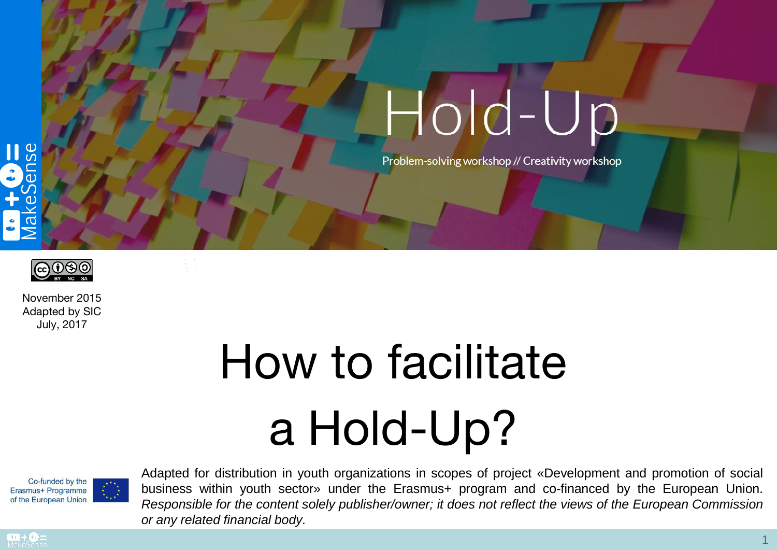



Problem-solving workshop // Creativity workshop



November 2015 Adapted by SIC July, 2017

# How to facilitate a Hold-Up?



Adapted for distribution in youth organizations in scopes of project «Development and promotion of social business within youth sector» under the Erasmus+ program and co-financed by the European Union. *Responsible for the content solely publisher/owner; it does not reflect the views of the European Commission or any related financial body.*

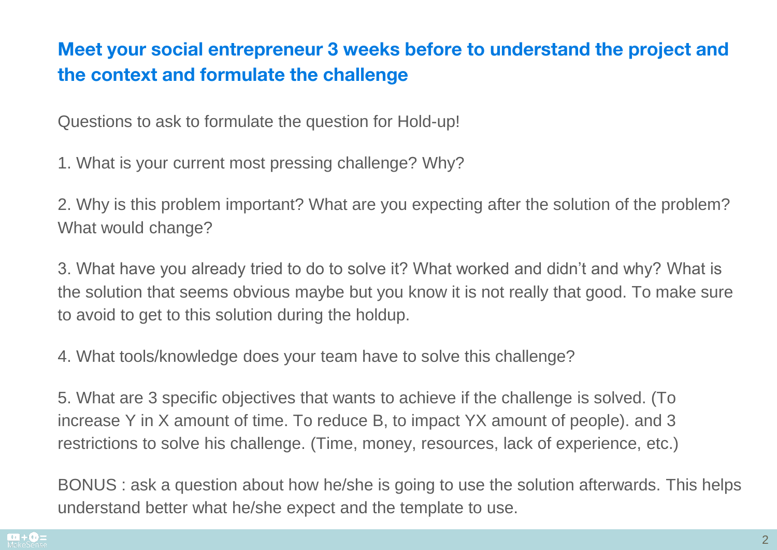## Meet your social entrepreneur 3 weeks before to understand the project and the context and formulate the challenge

Questions to ask to formulate the question for Hold-up!

1. What is your current most pressing challenge? Why?

2. Why is this problem important? What are you expecting after the solution of the problem? What would change?

3. What have you already tried to do to solve it? What worked and didn't and why? What is the solution that seems obvious maybe but you know it is not really that good. To make sure to avoid to get to this solution during the holdup.

4. What tools/knowledge does your team have to solve this challenge?

5. What are 3 specific objectives that wants to achieve if the challenge is solved. (To increase Y in X amount of time. To reduce B, to impact YX amount of people). and 3 restrictions to solve his challenge. (Time, money, resources, lack of experience, etc.)

BONUS : ask a question about how he/she is going to use the solution afterwards. This helps understand better what he/she expect and the template to use.

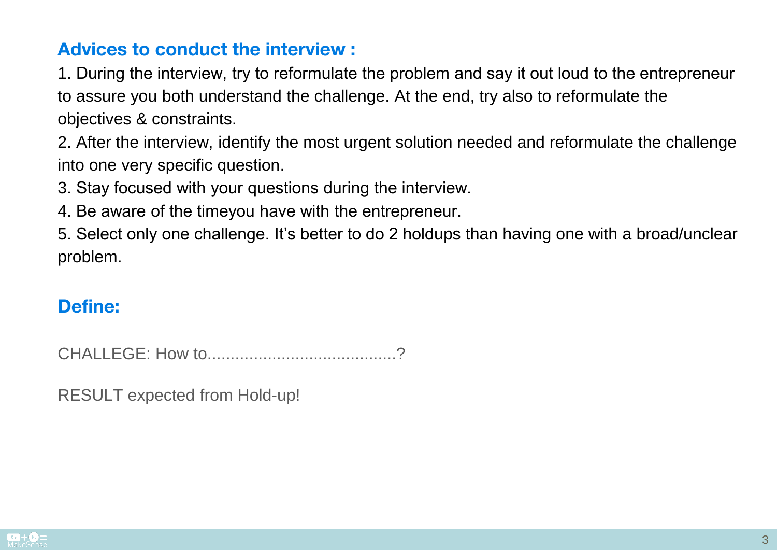## Advices to conduct the interview :

1. During the interview, try to reformulate the problem and say it out loud to the entrepreneur to assure you both understand the challenge. At the end, try also to reformulate the objectives & constraints.

2. After the interview, identify the most urgent solution needed and reformulate the challenge into one very specific question.

3. Stay focused with your questions during the interview.

4. Be aware of the timeyou have with the entrepreneur.

5. Select only one challenge. It's better to do 2 holdups than having one with a broad/unclear problem.

## Define:

CHALLEGE: How to.........................................?

RESULT expected from Hold-up!

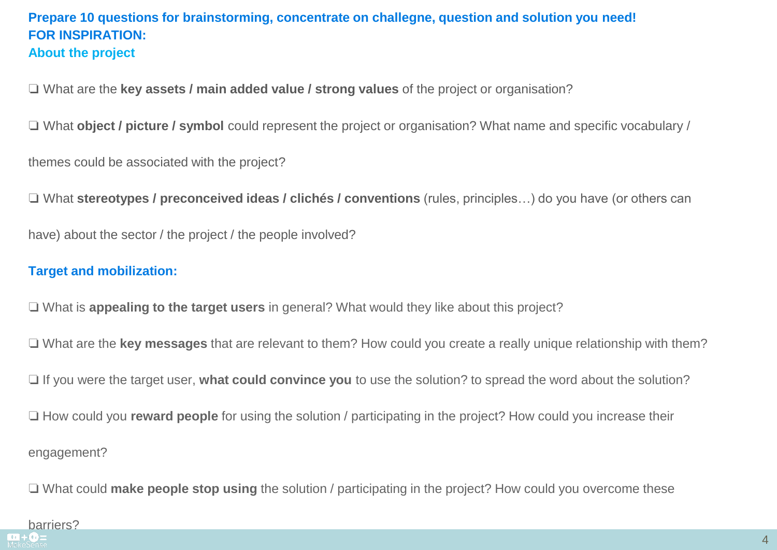#### **Prepare 10 questions for brainstorming, concentrate on challegne, question and solution you need! FOR INSPIRATION: About the project**

❏ What are the **key assets / main added value / strong values** of the project or organisation?

❏ What **object / picture / symbol** could represent the project or organisation? What name and specific vocabulary /

themes could be associated with the project?

❏ What **stereotypes / preconceived ideas / clichés / conventions** (rules, principles…) do you have (or others can

have) about the sector / the project / the people involved?

#### **Target and mobilization:**

❏ What is **appealing to the target users** in general? What would they like about this project?

❏ What are the **key messages** that are relevant to them? How could you create a really unique relationship with them?

❏ If you were the target user, **what could convince you** to use the solution? to spread the word about the solution?

❏ How could you **reward people** for using the solution / participating in the project? How could you increase their engagement?

❏ What could **make people stop using** the solution / participating in the project? How could you overcome these

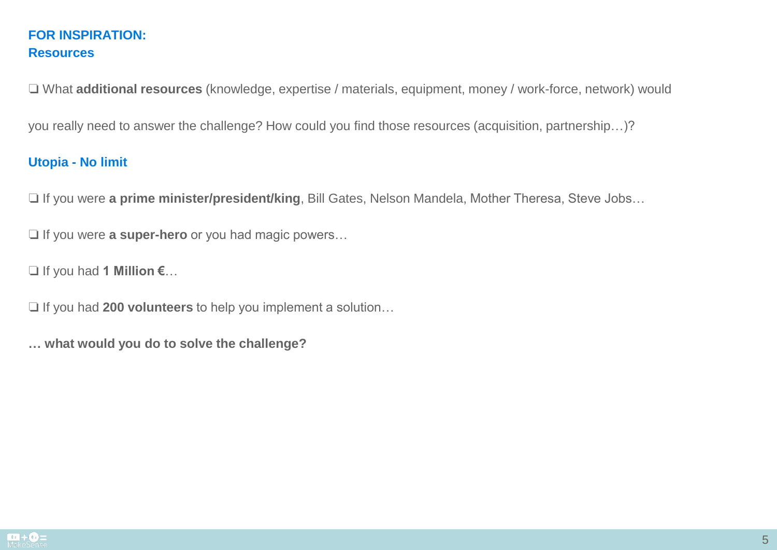#### **FOR INSPIRATION: Resources**

❏ What **additional resources** (knowledge, expertise / materials, equipment, money / work-force, network) would

you really need to answer the challenge? How could you find those resources (acquisition, partnership…)?

#### **Utopia - No limit**

❏ If you were **a prime minister/president/king**, Bill Gates, Nelson Mandela, Mother Theresa, Steve Jobs…

❏ If you were **a super-hero** or you had magic powers…

❏ If you had **1 Million €**…

❏ If you had **200 volunteers** to help you implement a solution…

**… what would you do to solve the challenge?**

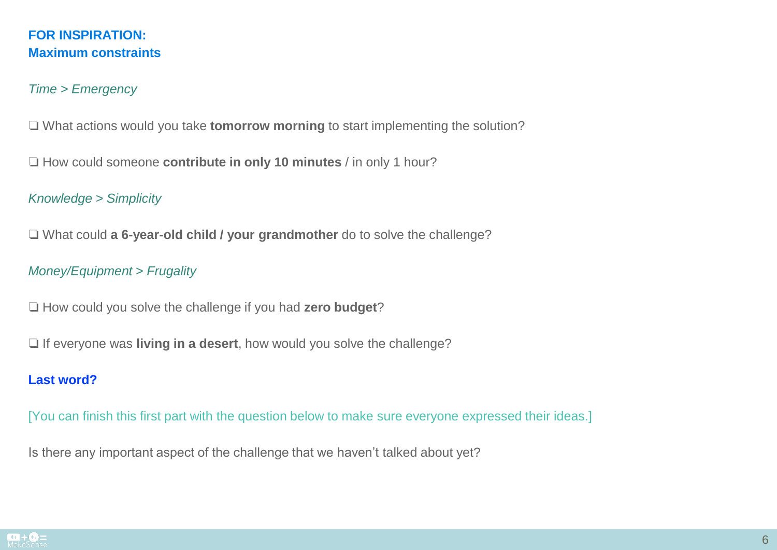#### **FOR INSPIRATION: Maximum constraints**

#### *Time > Emergency*

❏ What actions would you take **tomorrow morning** to start implementing the solution?

❏ How could someone **contribute in only 10 minutes** / in only 1 hour?

*Knowledge > Simplicity*

❏ What could **a 6-year-old child / your grandmother** do to solve the challenge?

*Money/Equipment > Frugality*

❏ How could you solve the challenge if you had **zero budget**?

❏ If everyone was **living in a desert**, how would you solve the challenge?

#### **Last word?**

[You can finish this first part with the question below to make sure everyone expressed their ideas.]

Is there any important aspect of the challenge that we haven't talked about yet?

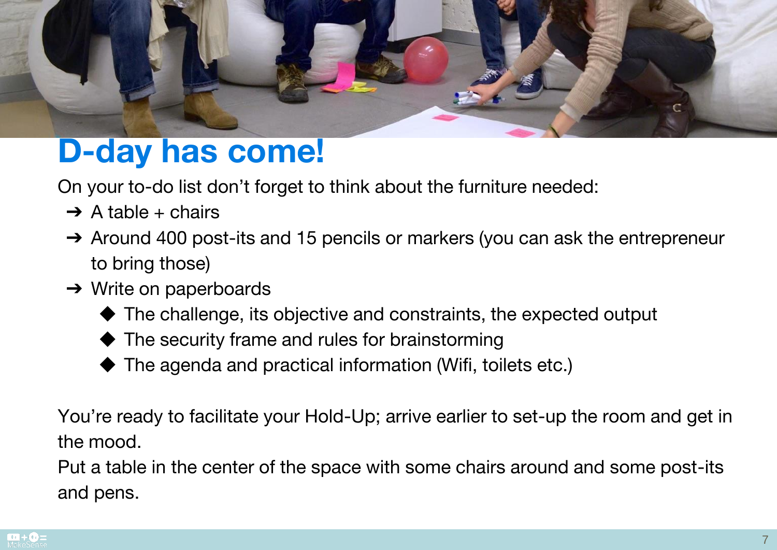

## D-day has come!

On your to-do list don't forget to think about the furniture needed:

- $\rightarrow$  A table + chairs
- → Around 400 post-its and 15 pencils or markers (you can ask the entrepreneur to bring those)
- ➔ Write on paperboards
	- ◆ The challenge, its objective and constraints, the expected output
	- $\blacklozenge$  The security frame and rules for brainstorming
	- The agenda and practical information (Wifi, toilets etc.)

You're ready to facilitate your Hold-Up; arrive earlier to set-up the room and get in the mood.

Put a table in the center of the space with some chairs around and some post-its and pens.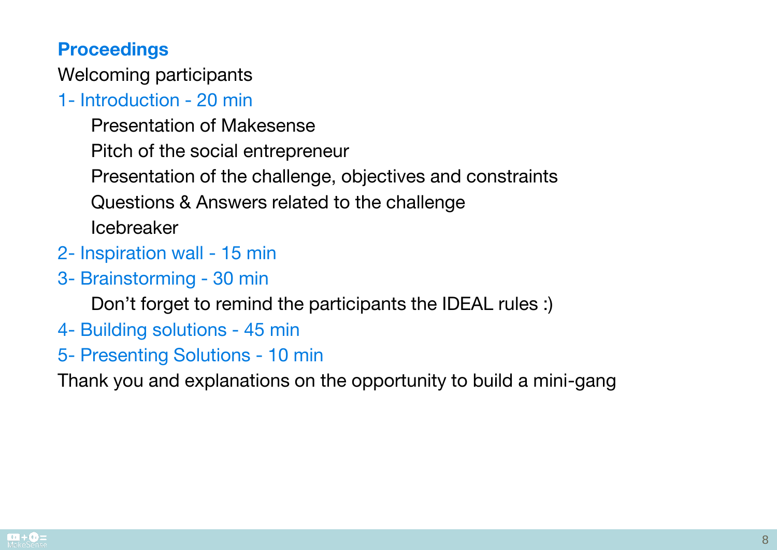#### **Proceedings**

Welcoming participants

## 1- Introduction - 20 min

Presentation of Makesense

Pitch of the social entrepreneur

Presentation of the challenge, objectives and constraints

Questions & Answers related to the challenge

Icebreaker

- 2- Inspiration wall 15 min
- 3- Brainstorming 30 min

Don't forget to remind the participants the IDEAL rules :)

- 4- Building solutions 45 min
- 5- Presenting Solutions 10 min

Thank you and explanations on the opportunity to build a mini-gang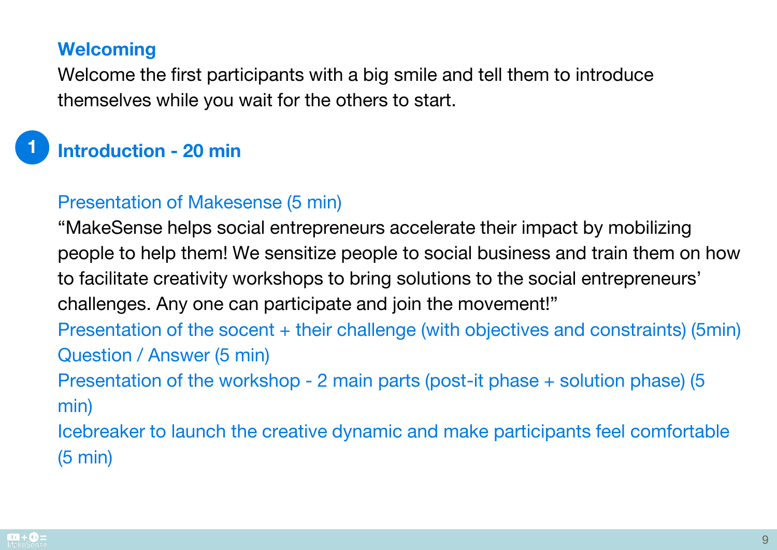#### **Welcoming**

Welcome the first participants with a big smile and tell them to introduce themselves while you wait for the others to start.

## Introduction - 20 min

## Presentation of Makesense (5 min)

"MakeSense helps social entrepreneurs accelerate their impact by mobilizing people to help them! We sensitize people to social business and train them on how to facilitate creativity workshops to bring solutions to the social entrepreneurs' challenges. Any one can participate and join the movement!" Presentation of the socent + their challenge (with objectives and constraints) (5min) Question / Answer (5 min)

Presentation of the workshop - 2 main parts (post-it phase + solution phase) (5 min)

Icebreaker to launch the creative dynamic and make participants feel comfortable (5 min)



1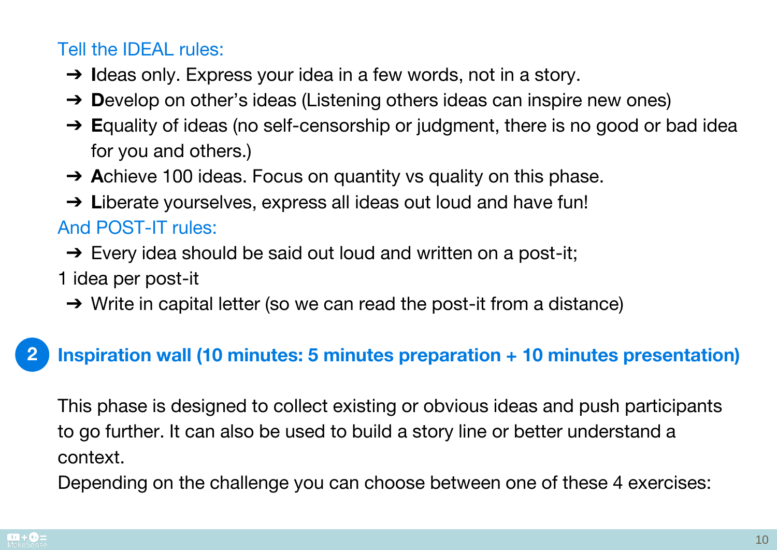## Tell the IDEAL rules:

- → Ideas only. Express your idea in a few words, not in a story.
- $\rightarrow$  Develop on other's ideas (Listening others ideas can inspire new ones)
- → Equality of ideas (no self-censorship or judgment, there is no good or bad idea for you and others.)
- → Achieve 100 ideas. Focus on quantity vs quality on this phase.
- → Liberate yourselves, express all ideas out loud and have fun!

## And POST-IT rules:

- $\rightarrow$  Every idea should be said out loud and written on a post-it;
- 1 idea per post-it
- $\rightarrow$  Write in capital letter (so we can read the post-it from a distance)

#### Inspiration wall (10 minutes: 5 minutes preparation + 10 minutes presentation) 2

This phase is designed to collect existing or obvious ideas and push participants to go further. It can also be used to build a story line or better understand a context.

Depending on the challenge you can choose between one of these 4 exercises: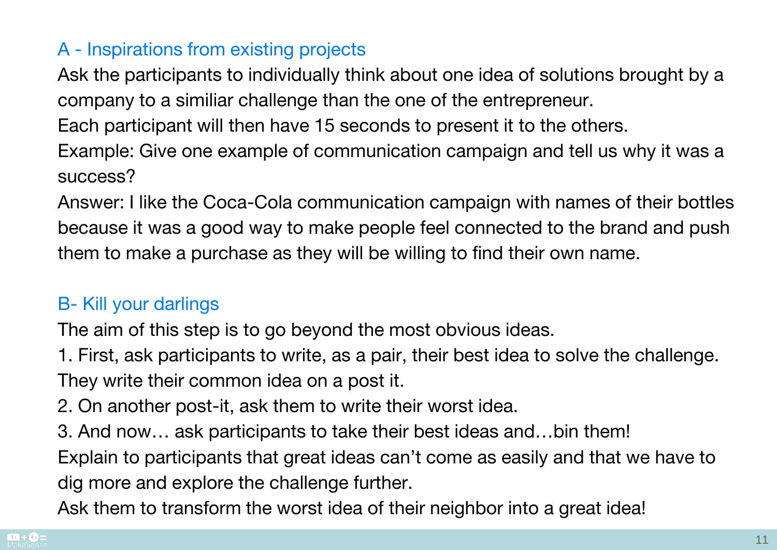## A - Inspirations from existing projects

Ask the participants to individually think about one idea of solutions brought by a company to a similiar challenge than the one of the entrepreneur.

Each participant will then have 15 seconds to present it to the others.

Example: Give one example of communication campaign and tell us why it was a success?

Answer: I like the Coca-Cola communication campaign with names of their bottles because it was a good way to make people feel connected to the brand and push them to make a purchase as they will be willing to find their own name.

## B- Kill your darlings

The aim of this step is to go beyond the most obvious ideas.

1. First, ask participants to write, as a pair, their best idea to solve the challenge. They write their common idea on a post it.

- 2. On another post-it, ask them to write their worst idea.
- 3. And now… ask participants to take their best ideas and…bin them!

Explain to participants that great ideas can't come as easily and that we have to dig more and explore the challenge further.

Ask them to transform the worst idea of their neighbor into a great idea!

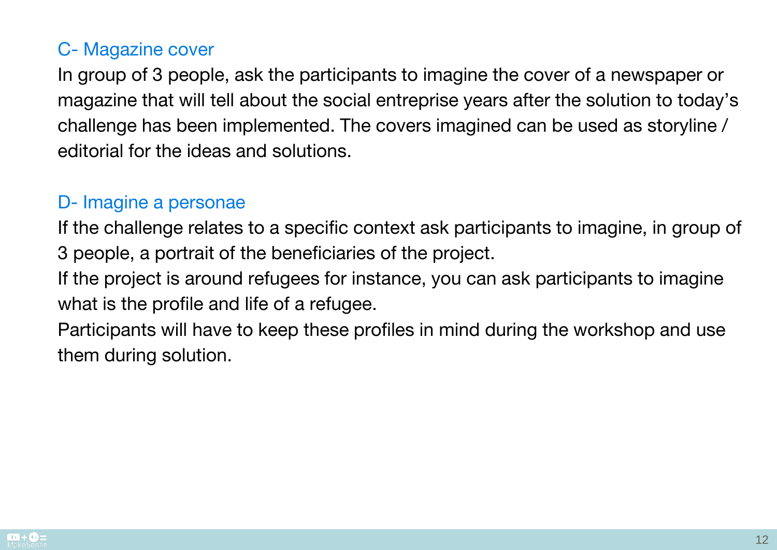## C- Magazine cover

In group of 3 people, ask the participants to imagine the cover of a newspaper or magazine that will tell about the social entreprise years after the solution to today's challenge has been implemented. The covers imagined can be used as storyline / editorial for the ideas and solutions.

#### D- Imagine a personae

If the challenge relates to a specific context ask participants to imagine, in group of 3 people, a portrait of the beneficiaries of the project.

If the project is around refugees for instance, you can ask participants to imagine what is the profile and life of a refugee.

Participants will have to keep these profiles in mind during the workshop and use them during solution.

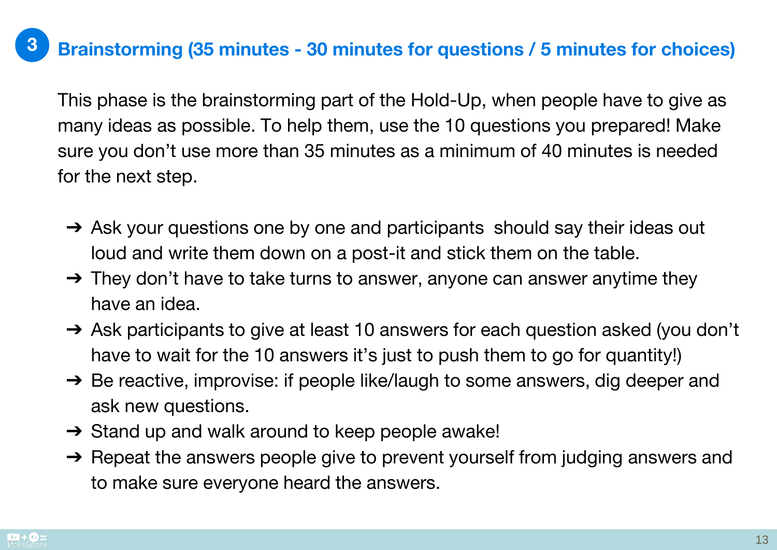#### Brainstorming (35 minutes - 30 minutes for questions / 5 minutes for choices) 3

This phase is the brainstorming part of the Hold-Up, when people have to give as many ideas as possible. To help them, use the 10 questions you prepared! Make sure you don't use more than 35 minutes as a minimum of 40 minutes is needed for the next step.

- → Ask your questions one by one and participants should say their ideas out loud and write them down on a post-it and stick them on the table.
- $\rightarrow$  They don't have to take turns to answer, anyone can answer anytime they have an idea.
- ➔ Ask participants to give at least 10 answers for each question asked (you don't have to wait for the 10 answers it's just to push them to go for quantity!)
- → Be reactive, improvise: if people like/laugh to some answers, dig deeper and ask new questions.
- $\rightarrow$  Stand up and walk around to keep people awake!
- → Repeat the answers people give to prevent yourself from judging answers and to make sure everyone heard the answers.

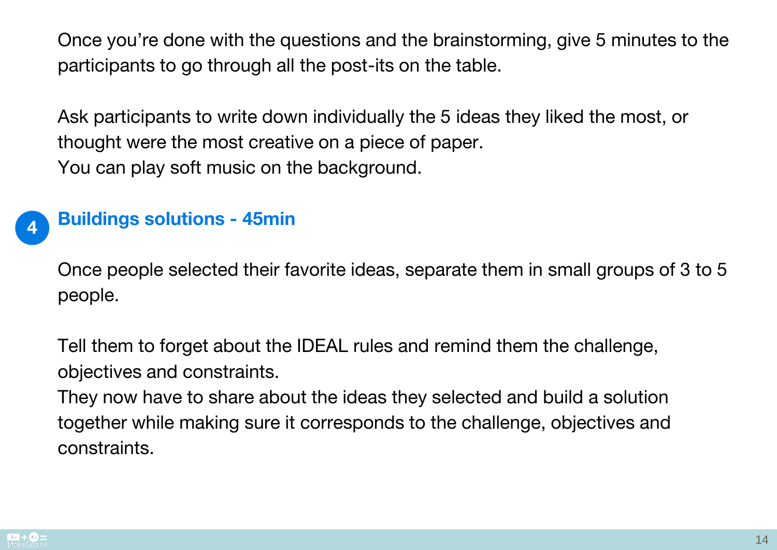Once you're done with the questions and the brainstorming, give 5 minutes to the participants to go through all the post-its on the table.

Ask participants to write down individually the 5 ideas they liked the most, or thought were the most creative on a piece of paper. You can play soft music on the background.



Once people selected their favorite ideas, separate them in small groups of 3 to 5 people.

Tell them to forget about the IDEAL rules and remind them the challenge, objectives and constraints.

They now have to share about the ideas they selected and build a solution together while making sure it corresponds to the challenge, objectives and constraints.

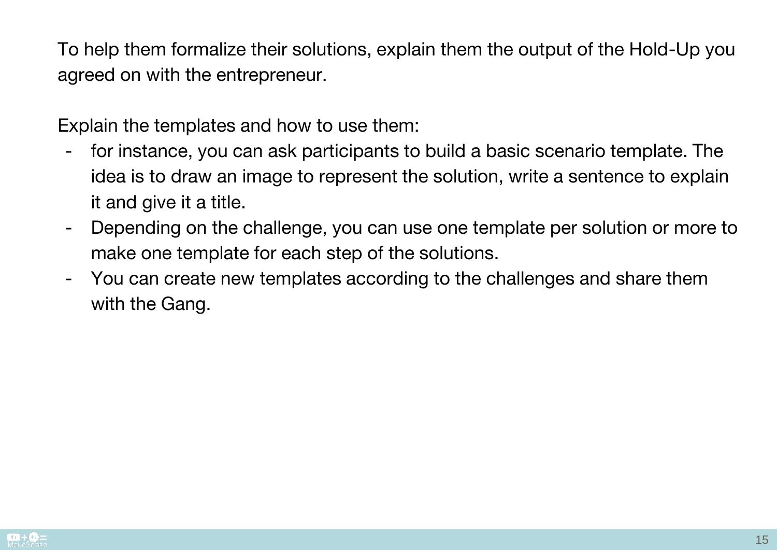To help them formalize their solutions, explain them the output of the Hold-Up you agreed on with the entrepreneur.

Explain the templates and how to use them:

- for instance, you can ask participants to build a basic scenario template. The idea is to draw an image to represent the solution, write a sentence to explain it and give it a title.
- Depending on the challenge, you can use one template per solution or more to make one template for each step of the solutions.
- You can create new templates according to the challenges and share them with the Gang.

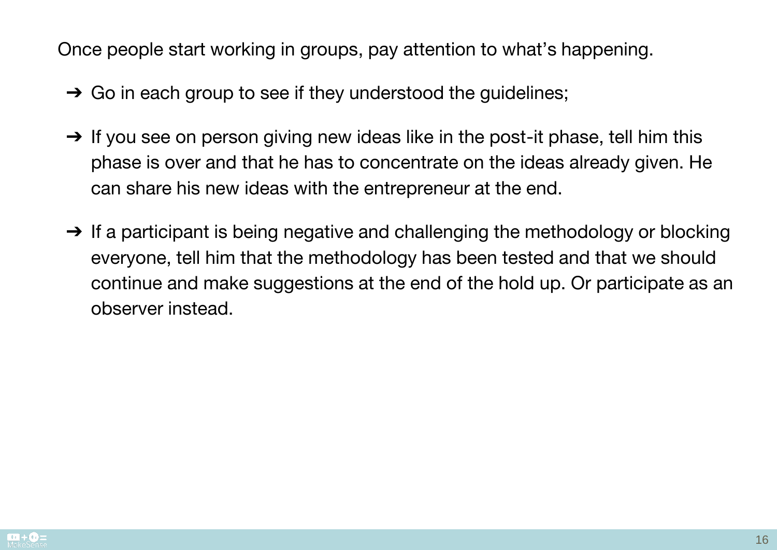Once people start working in groups, pay attention to what's happening.

- $\rightarrow$  Go in each group to see if they understood the guidelines;
- $\rightarrow$  If you see on person giving new ideas like in the post-it phase, tell him this phase is over and that he has to concentrate on the ideas already given. He can share his new ideas with the entrepreneur at the end.
- $\rightarrow$  If a participant is being negative and challenging the methodology or blocking everyone, tell him that the methodology has been tested and that we should continue and make suggestions at the end of the hold up. Or participate as an observer instead.

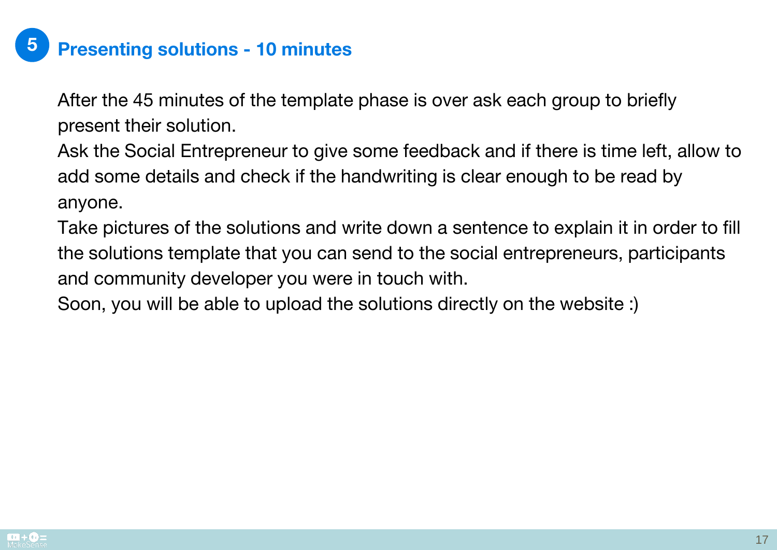#### Presenting solutions - 10 minutes 5

After the 45 minutes of the template phase is over ask each group to briefly present their solution.

Ask the Social Entrepreneur to give some feedback and if there is time left, allow to add some details and check if the handwriting is clear enough to be read by anyone.

Take pictures of the solutions and write down a sentence to explain it in order to fill the solutions template that you can send to the social entrepreneurs, participants and community developer you were in touch with.

Soon, you will be able to upload the solutions directly on the website :)